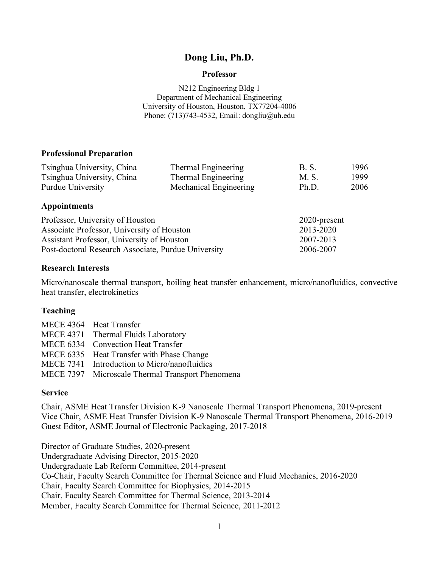# **Dong Liu, Ph.D.**

#### **Professor**

N212 Engineering Bldg 1 Department of Mechanical Engineering University of Houston, Houston, TX77204-4006 Phone:  $(713)743-4532$ , Email: dongliu@uh.edu

### **Professional Preparation**

| Tsinghua University, China | Thermal Engineering    | B. S. | 1996 |
|----------------------------|------------------------|-------|------|
| Tsinghua University, China | Thermal Engineering    | M. S. | 1999 |
| Purdue University          | Mechanical Engineering | Ph.D. | 2006 |

### **Appointments**

| Professor, University of Houston                    | $2020$ -present |
|-----------------------------------------------------|-----------------|
| Associate Professor, University of Houston          | 2013-2020       |
| Assistant Professor, University of Houston          | 2007-2013       |
| Post-doctoral Research Associate, Purdue University | 2006-2007       |

### **Research Interests**

Micro/nanoscale thermal transport, boiling heat transfer enhancement, micro/nanofluidics, convective heat transfer, electrokinetics

### **Teaching**

| MECE 4364 Heat Transfer                          |
|--------------------------------------------------|
| MECE 4371 Thermal Fluids Laboratory              |
| MECE 6334 Convection Heat Transfer               |
| MECE 6335 Heat Transfer with Phase Change        |
| MECE 7341 Introduction to Micro/nanofluidics     |
| MECE 7397 Microscale Thermal Transport Phenomena |

### **Service**

Chair, ASME Heat Transfer Division K-9 Nanoscale Thermal Transport Phenomena, 2019-present Vice Chair, ASME Heat Transfer Division K-9 Nanoscale Thermal Transport Phenomena, 2016-2019 Guest Editor, ASME Journal of Electronic Packaging, 2017-2018

Director of Graduate Studies, 2020-present Undergraduate Advising Director, 2015-2020 Undergraduate Lab Reform Committee, 2014-present Co-Chair, Faculty Search Committee for Thermal Science and Fluid Mechanics, 2016-2020 Chair, Faculty Search Committee for Biophysics, 2014-2015 Chair, Faculty Search Committee for Thermal Science, 2013-2014 Member, Faculty Search Committee for Thermal Science, 2011-2012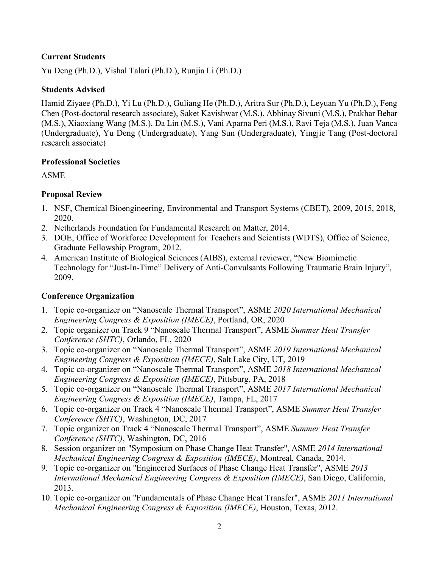# **Current Students**

Yu Deng (Ph.D.), Vishal Talari (Ph.D.), Runjia Li (Ph.D.)

## **Students Advised**

Hamid Ziyaee (Ph.D.), Yi Lu (Ph.D.), Guliang He (Ph.D.), Aritra Sur (Ph.D.), Leyuan Yu (Ph.D.), Feng Chen (Post-doctoral research associate), Saket Kavishwar (M.S.), Abhinay Sivuni (M.S.), Prakhar Behar (M.S.), Xiaoxiang Wang (M.S.), Da Lin (M.S.), Vani Aparna Peri (M.S.), Ravi Teja (M.S.), Juan Vanca (Undergraduate), Yu Deng (Undergraduate), Yang Sun (Undergraduate), Yingjie Tang (Post-doctoral research associate)

### **Professional Societies**

ASME

# **Proposal Review**

- 1. NSF, Chemical Bioengineering, Environmental and Transport Systems (CBET), 2009, 2015, 2018, 2020.
- 2. Netherlands Foundation for Fundamental Research on Matter, 2014.
- 3. DOE, Office of Workforce Development for Teachers and Scientists (WDTS), Office of Science, Graduate Fellowship Program, 2012.
- 4. American Institute of Biological Sciences (AIBS), external reviewer, "New Biomimetic Technology for "Just-In-Time" Delivery of Anti-Convulsants Following Traumatic Brain Injury", 2009.

# **Conference Organization**

- 1. Topic co-organizer on "Nanoscale Thermal Transport", ASME *2020 International Mechanical Engineering Congress & Exposition (IMECE)*, Portland, OR, 2020
- 2. Topic organizer on Track 9 "Nanoscale Thermal Transport", ASME *Summer Heat Transfer Conference (SHTC)*, Orlando, FL, 2020
- 3. Topic co-organizer on "Nanoscale Thermal Transport", ASME *2019 International Mechanical Engineering Congress & Exposition (IMECE)*, Salt Lake City, UT, 2019
- 4. Topic co-organizer on "Nanoscale Thermal Transport", ASME *2018 International Mechanical Engineering Congress & Exposition (IMECE)*, Pittsburg, PA, 2018
- 5. Topic co-organizer on "Nanoscale Thermal Transport", ASME *2017 International Mechanical Engineering Congress & Exposition (IMECE)*, Tampa, FL, 2017
- 6. Topic co-organizer on Track 4 "Nanoscale Thermal Transport", ASME *Summer Heat Transfer Conference (SHTC)*, Washington, DC, 2017
- 7. Topic organizer on Track 4 "Nanoscale Thermal Transport", ASME *Summer Heat Transfer Conference (SHTC)*, Washington, DC, 2016
- 8. Session organizer on "Symposium on Phase Change Heat Transfer", ASME *2014 International Mechanical Engineering Congress & Exposition (IMECE)*, Montreal, Canada, 2014.
- 9. Topic co-organizer on "Engineered Surfaces of Phase Change Heat Transfer", ASME *2013 International Mechanical Engineering Congress & Exposition (IMECE)*, San Diego, California, 2013.
- 10. Topic co-organizer on "Fundamentals of Phase Change Heat Transfer", ASME *2011 International Mechanical Engineering Congress & Exposition (IMECE)*, Houston, Texas, 2012.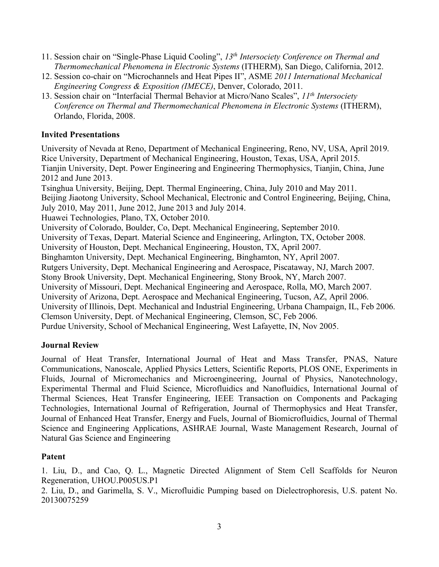- 11. Session chair on "Single-Phase Liquid Cooling", *13th Intersociety Conference on Thermal and Thermomechanical Phenomena in Electronic Systems* (ITHERM), San Diego, California, 2012.
- 12. Session co-chair on "Microchannels and Heat Pipes II", ASME *2011 International Mechanical Engineering Congress & Exposition (IMECE)*, Denver, Colorado, 2011.
- 13. Session chair on "Interfacial Thermal Behavior at Micro/Nano Scales", *11th Intersociety Conference on Thermal and Thermomechanical Phenomena in Electronic Systems* (ITHERM), Orlando, Florida, 2008.

## **Invited Presentations**

University of Nevada at Reno, Department of Mechanical Engineering, Reno, NV, USA, April 2019. Rice University, Department of Mechanical Engineering, Houston, Texas, USA, April 2015. Tianjin University, Dept. Power Engineering and Engineering Thermophysics, Tianjin, China, June 2012 and June 2013. Tsinghua University, Beijing, Dept. Thermal Engineering, China, July 2010 and May 2011.

Beijing Jiaotong University, School Mechanical, Electronic and Control Engineering, Beijing, China, July 2010, May 2011, June 2012, June 2013 and July 2014.

Huawei Technologies, Plano, TX, October 2010.

University of Colorado, Boulder, Co, Dept. Mechanical Engineering, September 2010.

University of Texas, Depart. Material Science and Engineering, Arlington, TX, October 2008.

University of Houston, Dept. Mechanical Engineering, Houston, TX, April 2007.

Binghamton University, Dept. Mechanical Engineering, Binghamton, NY, April 2007.

Rutgers University, Dept. Mechanical Engineering and Aerospace, Piscataway, NJ, March 2007.

Stony Brook University, Dept. Mechanical Engineering, Stony Brook, NY, March 2007.

University of Missouri, Dept. Mechanical Engineering and Aerospace, Rolla, MO, March 2007.

University of Arizona, Dept. Aerospace and Mechanical Engineering, Tucson, AZ, April 2006.

University of Illinois, Dept. Mechanical and Industrial Engineering, Urbana Champaign, IL, Feb 2006.

Clemson University, Dept. of Mechanical Engineering, Clemson, SC, Feb 2006.

Purdue University, School of Mechanical Engineering, West Lafayette, IN, Nov 2005.

# **Journal Review**

Journal of Heat Transfer, International Journal of Heat and Mass Transfer, PNAS, Nature Communications, Nanoscale, Applied Physics Letters, Scientific Reports, PLOS ONE, Experiments in Fluids, Journal of Micromechanics and Microengineering, Journal of Physics, Nanotechnology, Experimental Thermal and Fluid Science, Microfluidics and Nanofluidics, International Journal of Thermal Sciences, Heat Transfer Engineering, IEEE Transaction on Components and Packaging Technologies, International Journal of Refrigeration, Journal of Thermophysics and Heat Transfer, Journal of Enhanced Heat Transfer, Energy and Fuels, Journal of Biomicrofluidics, Journal of Thermal Science and Engineering Applications, ASHRAE Journal, Waste Management Research, Journal of Natural Gas Science and Engineering

# **Patent**

1. Liu, D., and Cao, Q. L., Magnetic Directed Alignment of Stem Cell Scaffolds for Neuron Regeneration, UHOU.P005US.P1

2. Liu, D., and Garimella, S. V., Microfluidic Pumping based on Dielectrophoresis, U.S. patent No. 20130075259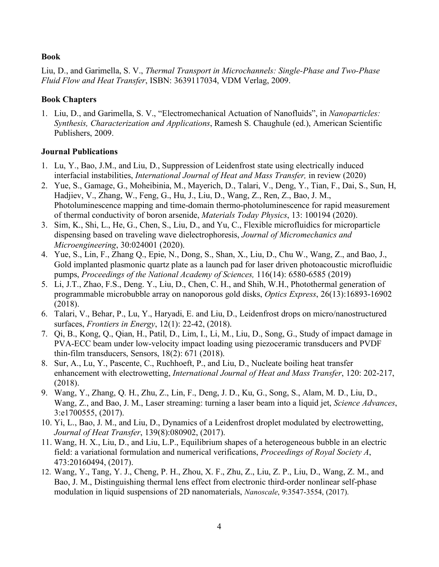### **Book**

Liu, D., and Garimella, S. V., *Thermal Transport in Microchannels: Single-Phase and Two-Phase Fluid Flow and Heat Transfer*, ISBN: 3639117034, VDM Verlag, 2009.

### **Book Chapters**

1. Liu, D., and Garimella, S. V., "Electromechanical Actuation of Nanofluids", in *Nanoparticles: Synthesis, Characterization and Applications*, Ramesh S. Chaughule (ed.), American Scientific Publishers, 2009.

### **Journal Publications**

- 1. Lu, Y., Bao, J.M., and Liu, D., Suppression of Leidenfrost state using electrically induced interfacial instabilities, *International Journal of Heat and Mass Transfer,* in review (2020)
- 2. Yue, S., Gamage, G., Moheibinia, M., Mayerich, D., Talari, V., Deng, Y., Tian, F., Dai, S., Sun, H, Hadjiev, V., Zhang, W., Feng, G., Hu, J., Liu, D., Wang, Z., Ren, Z., Bao, J. M., Photoluminescence mapping and time-domain thermo-photoluminescence for rapid measurement of thermal conductivity of boron arsenide, *Materials Today Physics*, 13: 100194 (2020).
- 3. Sim, K., Shi, L., He, G., Chen, S., Liu, D., and Yu, C., Flexible microfluidics for microparticle dispensing based on traveling wave dielectrophoresis, *Journal of Micromechanics and Microengineering*, 30:024001 (2020).
- 4. Yue, S., Lin, F., Zhang Q., Epie, N., Dong, S., Shan, X., Liu, D., Chu W., Wang, Z., and Bao, J., Gold implanted plasmonic quartz plate as a launch pad for laser driven photoacoustic microfluidic pumps, *Proceedings of the National Academy of Sciences,* 116(14): 6580-6585 (2019)
- 5. Li, J.T., Zhao, F.S., Deng. Y., Liu, D., Chen, C. H., and Shih, W.H., Photothermal generation of programmable microbubble array on nanoporous gold disks, *Optics Express*, 26(13):16893-16902 (2018).
- 6. Talari, V., Behar, P., Lu, Y., Haryadi, E. and Liu, D., Leidenfrost drops on micro/nanostructured surfaces, *Frontiers in Energy*, 12(1): 22-42, (2018).
- 7. Qi, B., Kong, Q., Qian, H., Patil, D., Lim, I., Li, M., Liu, D., Song, G., Study of impact damage in PVA-ECC beam under low-velocity impact loading using piezoceramic transducers and PVDF thin-film transducers, Sensors, 18(2): 671 (2018).
- 8. Sur, A., Lu, Y., Pascente, C., Ruchhoeft, P., and Liu, D., Nucleate boiling heat transfer enhancement with electrowetting, *International Journal of Heat and Mass Transfer*, 120: 202-217, (2018).
- 9. Wang, Y., Zhang, Q. H., Zhu, Z., Lin, F., Deng, J. D., Ku, G., Song, S., Alam, M. D., Liu, D., Wang, Z., and Bao, J. M., Laser streaming: turning a laser beam into a liquid jet, *Science Advances*, 3:e1700555, (2017).
- 10. Yi, L., Bao, J. M., and Liu, D., Dynamics of a Leidenfrost droplet modulated by electrowetting, *Journal of Heat Transfer*, 139(8):080902, (2017).
- 11. Wang, H. X., Liu, D., and Liu, L.P., Equilibrium shapes of a heterogeneous bubble in an electric field: a variational formulation and numerical verifications, *Proceedings of Royal Society A*, 473:20160494, (2017).
- 12. Wang, Y., Tang, Y. J., Cheng, P. H., Zhou, X. F., Zhu, Z., Liu, Z. P., Liu, D., Wang, Z. M., and Bao, J. M., Distinguishing thermal lens effect from electronic third-order nonlinear self-phase modulation in liquid suspensions of 2D nanomaterials, *Nanoscale*, 9:3547-3554, (2017).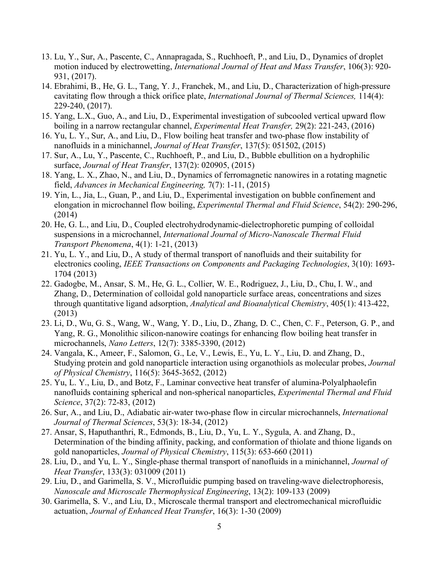- 13. Lu, Y., Sur, A., Pascente, C., Annapragada, S., Ruchhoeft, P., and Liu, D., Dynamics of droplet motion induced by electrowetting, *International Journal of Heat and Mass Transfer*, 106(3): 920- 931, (2017).
- 14. Ebrahimi, B., He, G. L., Tang, Y. J., Franchek, M., and Liu, D., Characterization of high-pressure cavitating flow through a thick orifice plate, *International Journal of Thermal Sciences,* 114(4): 229-240, (2017).
- 15. Yang, L.X., Guo, A., and Liu, D., Experimental investigation of subcooled vertical upward flow boiling in a narrow rectangular channel, *Experimental Heat Transfer,* 29(2): 221-243, (2016)
- 16. Yu, L. Y., Sur, A., and Liu, D., Flow boiling heat transfer and two-phase flow instability of nanofluids in a minichannel, *Journal of Heat Transfer*, 137(5): 051502, (2015)
- 17. Sur, A., Lu, Y., Pascente, C., Ruchhoeft, P., and Liu, D., Bubble ebullition on a hydrophilic surface, *Journal of Heat Transfer*, 137(2): 020905, (2015)
- 18. Yang, L. X., Zhao, N., and Liu, D., Dynamics of ferromagnetic nanowires in a rotating magnetic field, *Advances in Mechanical Engineering,* 7(7): 1-11, (2015)
- 19. Yin, L., Jia, L., Guan, P., and Liu, D., Experimental investigation on bubble confinement and elongation in microchannel flow boiling, *Experimental Thermal and Fluid Science*, 54(2): 290-296, (2014)
- 20. He, G. L., and Liu, D., Coupled electrohydrodynamic-dielectrophoretic pumping of colloidal suspensions in a microchannel, *International Journal of Micro-Nanoscale Thermal Fluid Transport Phenomena*, 4(1): 1-21, (2013)
- 21. Yu, L. Y., and Liu, D., A study of thermal transport of nanofluids and their suitability for electronics cooling, *IEEE Transactions on Components and Packaging Technologies*, 3(10): 1693- 1704 (2013)
- 22. Gadogbe, M., Ansar, S. M., He, G. L., Collier, W. E., Rodriguez, J., Liu, D., Chu, I. W., and Zhang, D., Determination of colloidal gold nanoparticle surface areas, concentrations and sizes through quantitative ligand adsorption, *Analytical and Bioanalytical Chemistry*, 405(1): 413-422, (2013)
- 23. Li, D., Wu, G. S., Wang, W., Wang, Y. D., Liu, D., Zhang, D. C., Chen, C. F., Peterson, G. P., and Yang, R. G., Monolithic silicon-nanowire coatings for enhancing flow boiling heat transfer in microchannels, *Nano Letters*, 12(7): 3385-3390, (2012)
- 24. Vangala, K., Ameer, F., Salomon, G., Le, V., Lewis, E., Yu, L. Y., Liu, D. and Zhang, D., Studying protein and gold nanoparticle interaction using organothiols as molecular probes, *Journal of Physical Chemistry*, 116(5): 3645-3652, (2012)
- 25. Yu, L. Y., Liu, D., and Botz, F., Laminar convective heat transfer of alumina-Polyalphaolefin nanofluids containing spherical and non-spherical nanoparticles, *Experimental Thermal and Fluid Science*, 37(2): 72-83, (2012)
- 26. Sur, A., and Liu, D., Adiabatic air-water two-phase flow in circular microchannels, *International Journal of Thermal Sciences*, 53(3): 18-34, (2012)
- 27. Ansar, S, Haputhanthri, R., Edmonds, B., Liu, D., Yu, L. Y., Sygula, A. and Zhang, D., Determination of the binding affinity, packing, and conformation of thiolate and thione ligands on gold nanoparticles, *Journal of Physical Chemistry*, 115(3): 653-660 (2011)
- 28. Liu, D., and Yu, L. Y., Single-phase thermal transport of nanofluids in a minichannel, *Journal of Heat Transfer*, 133(3): 031009 (2011)
- 29. Liu, D., and Garimella, S. V., Microfluidic pumping based on traveling-wave dielectrophoresis, *Nanoscale and Microscale Thermophysical Engineering*, 13(2): 109-133 (2009)
- 30. Garimella, S. V., and Liu, D., Microscale thermal transport and electromechanical microfluidic actuation, *Journal of Enhanced Heat Transfer*, 16(3): 1-30 (2009)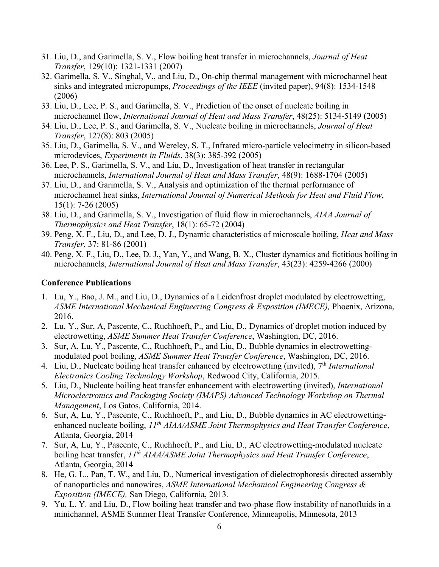- 31. Liu, D., and Garimella, S. V., Flow boiling heat transfer in microchannels, *Journal of Heat Transfer*, 129(10): 1321-1331 (2007)
- 32. Garimella, S. V., Singhal, V., and Liu, D., On-chip thermal management with microchannel heat sinks and integrated micropumps, *Proceedings of the IEEE* (invited paper), 94(8): 1534-1548 (2006)
- 33. Liu, D., Lee, P. S., and Garimella, S. V., Prediction of the onset of nucleate boiling in microchannel flow, *International Journal of Heat and Mass Transfer*, 48(25): 5134-5149 (2005)
- 34. Liu, D., Lee, P. S., and Garimella, S. V., Nucleate boiling in microchannels, *Journal of Heat Transfer*, 127(8): 803 (2005)
- 35. Liu, D., Garimella, S. V., and Wereley, S. T., Infrared micro-particle velocimetry in silicon-based microdevices, *Experiments in Fluids*, 38(3): 385-392 (2005)
- 36. Lee, P. S., Garimella, S. V., and Liu, D., Investigation of heat transfer in rectangular microchannels, *International Journal of Heat and Mass Transfer*, 48(9): 1688-1704 (2005)
- 37. Liu, D., and Garimella, S. V., Analysis and optimization of the thermal performance of microchannel heat sinks, *International Journal of Numerical Methods for Heat and Fluid Flow*, 15(1): 7-26 (2005)
- 38. Liu, D., and Garimella, S. V., Investigation of fluid flow in microchannels, *AIAA Journal of Thermophysics and Heat Transfer*, 18(1): 65-72 (2004)
- 39. Peng, X. F., Liu, D., and Lee, D. J., Dynamic characteristics of microscale boiling, *Heat and Mass Transfer*, 37: 81-86 (2001)
- 40. Peng, X. F., Liu, D., Lee, D. J., Yan, Y., and Wang, B. X., Cluster dynamics and fictitious boiling in microchannels, *International Journal of Heat and Mass Transfer*, 43(23): 4259-4266 (2000)

#### **Conference Publications**

- 1. Lu, Y., Bao, J. M., and Liu, D., Dynamics of a Leidenfrost droplet modulated by electrowetting, *ASME International Mechanical Engineering Congress & Exposition (IMECE),* Phoenix, Arizona, 2016.
- 2. Lu, Y., Sur, A, Pascente, C., Ruchhoeft, P., and Liu, D., Dynamics of droplet motion induced by electrowetting, *ASME Summer Heat Transfer Conference*, Washington, DC, 2016.
- 3. Sur, A, Lu, Y., Pascente, C., Ruchhoeft, P., and Liu, D., Bubble dynamics in electrowettingmodulated pool boiling, *ASME Summer Heat Transfer Conference*, Washington, DC, 2016.
- 4. Liu, D., Nucleate boiling heat transfer enhanced by electrowetting (invited), 7<sup>th</sup> *International Electronics Cooling Technology Workshop*, Redwood City, California, 2015.
- 5. Liu, D., Nucleate boiling heat transfer enhancement with electrowetting (invited), *International Microelectronics and Packaging Society (IMAPS) Advanced Technology Workshop on Thermal Management*, Los Gatos, California, 2014.
- 6. Sur, A, Lu, Y., Pascente, C., Ruchhoeft, P., and Liu, D., Bubble dynamics in AC electrowettingenhanced nucleate boiling, *11th AIAA/ASME Joint Thermophysics and Heat Transfer Conference*, Atlanta, Georgia, 2014
- 7. Sur, A, Lu, Y., Pascente, C., Ruchhoeft, P., and Liu, D., AC electrowetting-modulated nucleate boiling heat transfer, *11th AIAA/ASME Joint Thermophysics and Heat Transfer Conference*, Atlanta, Georgia, 2014
- 8. He, G. L., Pan, T. W., and Liu, D., Numerical investigation of dielectrophoresis directed assembly of nanoparticles and nanowires, *ASME International Mechanical Engineering Congress & Exposition (IMECE),* San Diego, California, 2013.
- 9. Yu, L. Y. and Liu, D., Flow boiling heat transfer and two-phase flow instability of nanofluids in a minichannel, ASME Summer Heat Transfer Conference, Minneapolis, Minnesota, 2013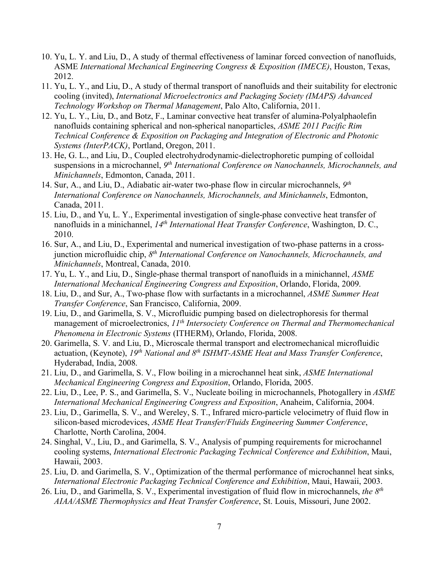- 10. Yu, L. Y. and Liu, D., A study of thermal effectiveness of laminar forced convection of nanofluids, ASME *International Mechanical Engineering Congress & Exposition (IMECE)*, Houston, Texas, 2012.
- 11. Yu, L. Y., and Liu, D., A study of thermal transport of nanofluids and their suitability for electronic cooling (invited), *International Microelectronics and Packaging Society (IMAPS) Advanced Technology Workshop on Thermal Management*, Palo Alto, California, 2011.
- 12. Yu, L. Y., Liu, D., and Botz, F., Laminar convective heat transfer of alumina-Polyalphaolefin nanofluids containing spherical and non-spherical nanoparticles, *ASME 2011 Pacific Rim Technical Conference & Exposition on Packaging and Integration of Electronic and Photonic Systems (InterPACK)*, Portland, Oregon, 2011.
- 13. He, G. L., and Liu, D., Coupled electrohydrodynamic-dielectrophoretic pumping of colloidal suspensions in a microchannel, *9th International Conference on Nanochannels, Microchannels, and Minichannels*, Edmonton, Canada, 2011.
- 14. Sur, A., and Liu, D., Adiabatic air-water two-phase flow in circular microchannels, *9th International Conference on Nanochannels, Microchannels, and Minichannels*, Edmonton, Canada, 2011.
- 15. Liu, D., and Yu, L. Y., Experimental investigation of single-phase convective heat transfer of nanofluids in a minichannel, *14th International Heat Transfer Conference*, Washington, D. C., 2010.
- 16. Sur, A., and Liu, D., Experimental and numerical investigation of two-phase patterns in a crossjunction microfluidic chip, *8th International Conference on Nanochannels, Microchannels, and Minichannels*, Montreal, Canada, 2010.
- 17. Yu, L. Y., and Liu, D., Single-phase thermal transport of nanofluids in a minichannel, *ASME International Mechanical Engineering Congress and Exposition*, Orlando, Florida, 2009.
- 18. Liu, D., and Sur, A., Two-phase flow with surfactants in a microchannel, *ASME Summer Heat Transfer Conference*, San Francisco, California, 2009.
- 19. Liu, D., and Garimella, S. V., Microfluidic pumping based on dielectrophoresis for thermal management of microelectronics, *11th Intersociety Conference on Thermal and Thermomechanical Phenomena in Electronic Systems* (ITHERM), Orlando, Florida, 2008.
- 20. Garimella, S. V. and Liu, D., Microscale thermal transport and electromechanical microfluidic actuation, (Keynote), *19th National and 8th ISHMT-ASME Heat and Mass Transfer Conference*, Hyderabad, India, 2008.
- 21. Liu, D., and Garimella, S. V., Flow boiling in a microchannel heat sink, *ASME International Mechanical Engineering Congress and Exposition*, Orlando, Florida, 2005.
- 22. Liu, D., Lee, P. S., and Garimella, S. V., Nucleate boiling in microchannels, Photogallery in *ASME International Mechanical Engineering Congress and Exposition*, Anaheim, California, 2004.
- 23. Liu, D., Garimella, S. V., and Wereley, S. T., Infrared micro-particle velocimetry of fluid flow in silicon-based microdevices, *ASME Heat Transfer/Fluids Engineering Summer Conference*, Charlotte, North Carolina, 2004.
- 24. Singhal, V., Liu, D., and Garimella, S. V., Analysis of pumping requirements for microchannel cooling systems, *International Electronic Packaging Technical Conference and Exhibition*, Maui, Hawaii, 2003.
- 25. Liu, D. and Garimella, S. V., Optimization of the thermal performance of microchannel heat sinks, *International Electronic Packaging Technical Conference and Exhibition*, Maui, Hawaii, 2003.
- 26. Liu, D., and Garimella, S. V., Experimental investigation of fluid flow in microchannels, *the 8th AIAA/ASME Thermophysics and Heat Transfer Conference*, St. Louis, Missouri, June 2002.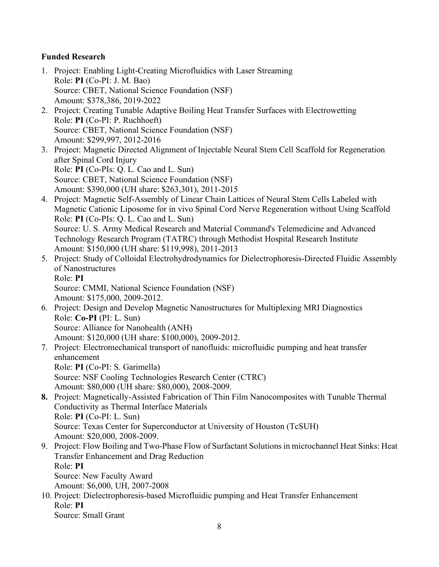## **Funded Research**

- 1. Project: Enabling Light-Creating Microfluidics with Laser Streaming Role: **PI** (Co-PI: J. M. Bao) Source: CBET, National Science Foundation (NSF) Amount: \$378,386, 2019-2022
- 2. Project: Creating Tunable Adaptive Boiling Heat Transfer Surfaces with Electrowetting Role: **PI** (Co-PI: P. Ruchhoeft) Source: CBET, National Science Foundation (NSF) Amount: \$299,997, 2012-2016
- 3. Project: Magnetic Directed Alignment of Injectable Neural Stem Cell Scaffold for Regeneration after Spinal Cord Injury Role: **PI** (Co-PIs: Q. L. Cao and L. Sun) Source: CBET, National Science Foundation (NSF) Amount: \$390,000 (UH share: \$263,301), 2011-2015
- 4. Project: Magnetic Self-Assembly of Linear Chain Lattices of Neural Stem Cells Labeled with Magnetic Cationic Liposome for in vivo Spinal Cord Nerve Regeneration without Using Scaffold Role: **PI** (Co-PIs: Q. L. Cao and L. Sun) Source: U. S. Army Medical Research and Material Command's Telemedicine and Advanced Technology Research Program (TATRC) through Methodist Hospital Research Institute Amount: \$150,000 (UH share: \$119,998), 2011-2013
- 5. Project: Study of Colloidal Electrohydrodynamics for Dielectrophoresis-Directed Fluidic Assembly of Nanostructures Role: **PI**

Source: CMMI, National Science Foundation (NSF) Amount: \$175,000, 2009-2012.

- 6. Project: Design and Develop Magnetic Nanostructures for Multiplexing MRI Diagnostics Role: **Co-PI** (PI: L. Sun) Source: Alliance for Nanohealth (ANH) Amount: \$120,000 (UH share: \$100,000), 2009-2012.
- 7. Project: Electromechanical transport of nanofluids: microfluidic pumping and heat transfer enhancement

Role: **PI** (Co-PI: S. Garimella)

Source: NSF Cooling Technologies Research Center (CTRC) Amount: \$80,000 (UH share: \$80,000), 2008-2009.

- **8.** Project: Magnetically-Assisted Fabrication of Thin Film Nanocomposites with Tunable Thermal Conductivity as Thermal Interface Materials Role: **PI** (Co-PI: L. Sun) Source: Texas Center for Superconductor at University of Houston (TcSUH) Amount: \$20,000, 2008-2009.
- 9. Project: Flow Boiling and Two-Phase Flow of Surfactant Solutions in microchannel Heat Sinks: Heat Transfer Enhancement and Drag Reduction Role: **PI** Source: New Faculty Award

Amount: \$6,000, UH, 2007-2008

10. Project: Dielectrophoresis-based Microfluidic pumping and Heat Transfer Enhancement Role: **PI** Source: Small Grant